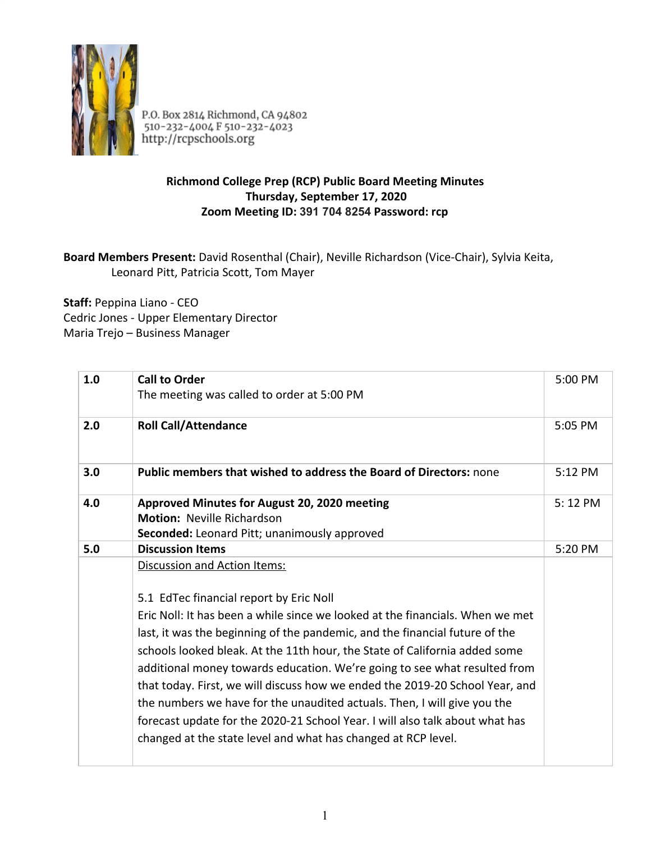

P.O. Box 2814 Richmond, CA 94802<br>510-232-4004 F 510-232-4023<br>http://rcpschools.org

## **Richmond College Prep (RCP) Public Board Meeting Minutes Thursday, September 17, 2020 Zoom Meeting ID: 391 704 8254 Password: rcp**

## **Board Members Present:** David Rosenthal (Chair), Neville Richardson (Vice-Chair), Sylvia Keita, Leonard Pitt, Patricia Scott, Tom Mayer

**Staff:** Peppina Liano - CEO Cedric Jones - Upper Elementary Director Maria Trejo – Business Manager

| 1.0 | <b>Call to Order</b>                                                          | 5:00 PM |
|-----|-------------------------------------------------------------------------------|---------|
|     | The meeting was called to order at 5:00 PM                                    |         |
| 2.0 | <b>Roll Call/Attendance</b>                                                   | 5:05 PM |
|     |                                                                               |         |
| 3.0 | <b>Public members that wished to address the Board of Directors: none</b>     | 5:12 PM |
| 4.0 | Approved Minutes for August 20, 2020 meeting                                  | 5:12 PM |
|     | <b>Motion: Neville Richardson</b>                                             |         |
|     | Seconded: Leonard Pitt; unanimously approved                                  |         |
| 5.0 | <b>Discussion Items</b>                                                       | 5:20 PM |
|     | Discussion and Action Items:                                                  |         |
|     |                                                                               |         |
|     | 5.1 EdTec financial report by Eric Noll                                       |         |
|     | Eric Noll: It has been a while since we looked at the financials. When we met |         |
|     | last, it was the beginning of the pandemic, and the financial future of the   |         |
|     | schools looked bleak. At the 11th hour, the State of California added some    |         |
|     | additional money towards education. We're going to see what resulted from     |         |
|     | that today. First, we will discuss how we ended the 2019-20 School Year, and  |         |
|     | the numbers we have for the unaudited actuals. Then, I will give you the      |         |
|     | forecast update for the 2020-21 School Year. I will also talk about what has  |         |
|     |                                                                               |         |
|     | changed at the state level and what has changed at RCP level.                 |         |
|     |                                                                               |         |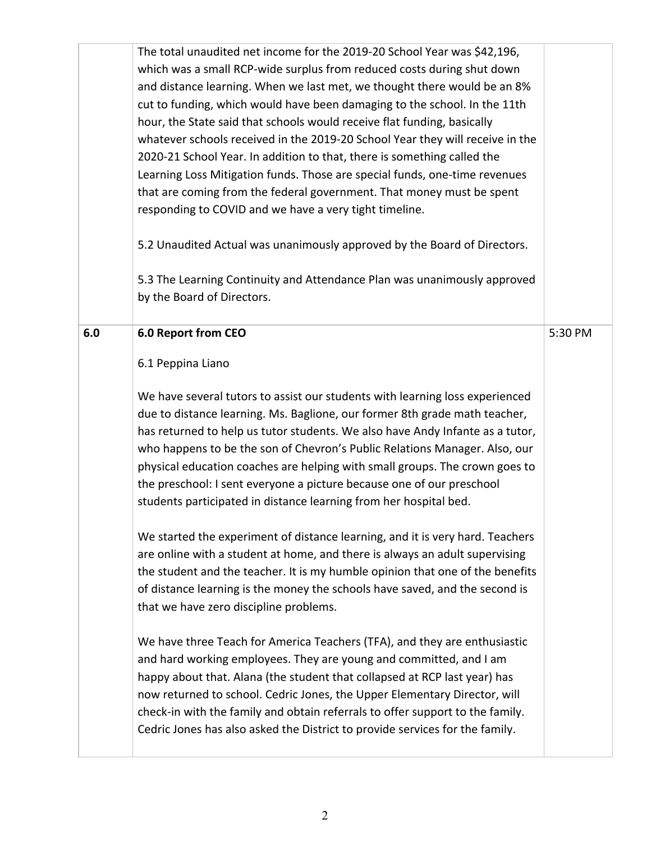|     | The total unaudited net income for the 2019-20 School Year was \$42,196,<br>which was a small RCP-wide surplus from reduced costs during shut down<br>and distance learning. When we last met, we thought there would be an 8%<br>cut to funding, which would have been damaging to the school. In the 11th<br>hour, the State said that schools would receive flat funding, basically<br>whatever schools received in the 2019-20 School Year they will receive in the<br>2020-21 School Year. In addition to that, there is something called the<br>Learning Loss Mitigation funds. Those are special funds, one-time revenues<br>that are coming from the federal government. That money must be spent<br>responding to COVID and we have a very tight timeline.<br>5.2 Unaudited Actual was unanimously approved by the Board of Directors.<br>5.3 The Learning Continuity and Attendance Plan was unanimously approved<br>by the Board of Directors.                                                                                                                                                                                                                                                                                                                                                                                                                                                                                                  |         |
|-----|------------------------------------------------------------------------------------------------------------------------------------------------------------------------------------------------------------------------------------------------------------------------------------------------------------------------------------------------------------------------------------------------------------------------------------------------------------------------------------------------------------------------------------------------------------------------------------------------------------------------------------------------------------------------------------------------------------------------------------------------------------------------------------------------------------------------------------------------------------------------------------------------------------------------------------------------------------------------------------------------------------------------------------------------------------------------------------------------------------------------------------------------------------------------------------------------------------------------------------------------------------------------------------------------------------------------------------------------------------------------------------------------------------------------------------------------------------|---------|
| 6.0 | 6.0 Report from CEO<br>6.1 Peppina Liano<br>We have several tutors to assist our students with learning loss experienced<br>due to distance learning. Ms. Baglione, our former 8th grade math teacher,<br>has returned to help us tutor students. We also have Andy Infante as a tutor,<br>who happens to be the son of Chevron's Public Relations Manager. Also, our<br>physical education coaches are helping with small groups. The crown goes to<br>the preschool: I sent everyone a picture because one of our preschool<br>students participated in distance learning from her hospital bed.<br>We started the experiment of distance learning, and it is very hard. Teachers<br>are online with a student at home, and there is always an adult supervising<br>the student and the teacher. It is my humble opinion that one of the benefits<br>of distance learning is the money the schools have saved, and the second is<br>that we have zero discipline problems.<br>We have three Teach for America Teachers (TFA), and they are enthusiastic<br>and hard working employees. They are young and committed, and I am<br>happy about that. Alana (the student that collapsed at RCP last year) has<br>now returned to school. Cedric Jones, the Upper Elementary Director, will<br>check-in with the family and obtain referrals to offer support to the family.<br>Cedric Jones has also asked the District to provide services for the family. | 5:30 PM |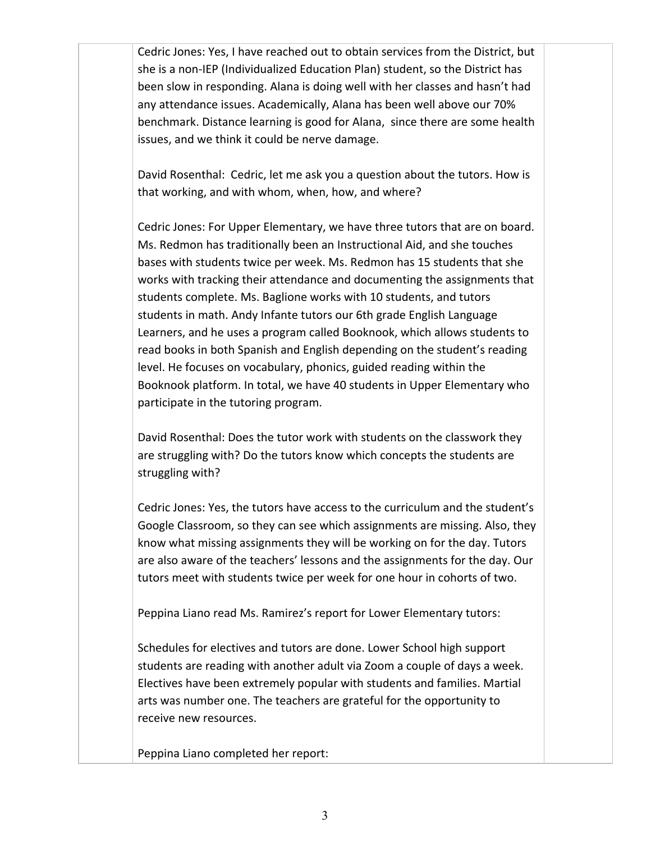Cedric Jones: Yes, I have reached out to obtain services from the District, but she is a non-IEP (Individualized Education Plan) student, so the District has been slow in responding. Alana is doing well with her classes and hasn't had any attendance issues. Academically, Alana has been well above our 70% benchmark. Distance learning is good for Alana, since there are some health issues, and we think it could be nerve damage.

David Rosenthal: Cedric, let me ask you a question about the tutors. How is that working, and with whom, when, how, and where?

Cedric Jones: For Upper Elementary, we have three tutors that are on board. Ms. Redmon has traditionally been an Instructional Aid, and she touches bases with students twice per week. Ms. Redmon has 15 students that she works with tracking their attendance and documenting the assignments that students complete. Ms. Baglione works with 10 students, and tutors students in math. Andy Infante tutors our 6th grade English Language Learners, and he uses a program called Booknook, which allows students to read books in both Spanish and English depending on the student's reading level. He focuses on vocabulary, phonics, guided reading within the Booknook platform. In total, we have 40 students in Upper Elementary who participate in the tutoring program.

David Rosenthal: Does the tutor work with students on the classwork they are struggling with? Do the tutors know which concepts the students are struggling with?

Cedric Jones: Yes, the tutors have access to the curriculum and the student's Google Classroom, so they can see which assignments are missing. Also, they know what missing assignments they will be working on for the day. Tutors are also aware of the teachers' lessons and the assignments for the day. Our tutors meet with students twice per week for one hour in cohorts of two.

Peppina Liano read Ms. Ramirez's report for Lower Elementary tutors:

Schedules for electives and tutors are done. Lower School high support students are reading with another adult via Zoom a couple of days a week. Electives have been extremely popular with students and families. Martial arts was number one. The teachers are grateful for the opportunity to receive new resources.

Peppina Liano completed her report: